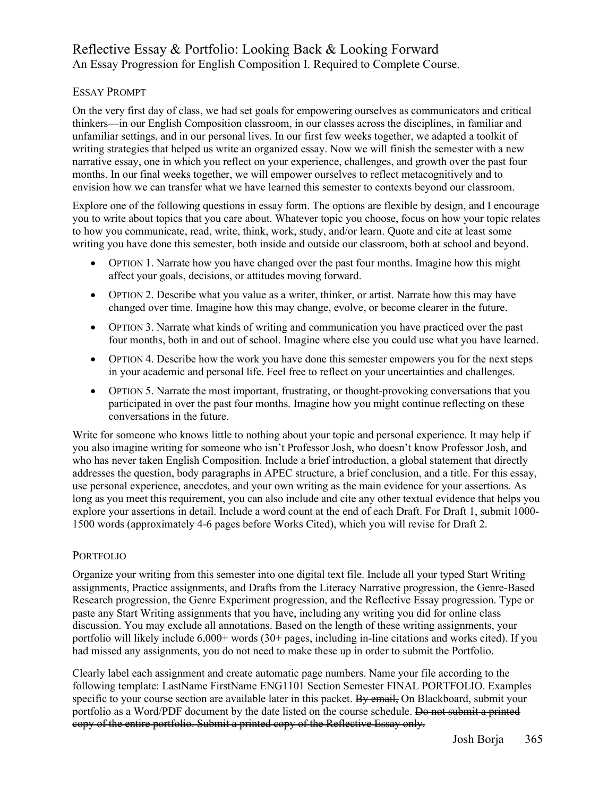# Reflective Essay & Portfolio: Looking Back & Looking Forward An Essay Progression for English Composition I. Required to Complete Course.

# ESSAY PROMPT

On the very first day of class, we had set goals for empowering ourselves as communicators and critical thinkers—in our English Composition classroom, in our classes across the disciplines, in familiar and unfamiliar settings, and in our personal lives. In our first few weeks together, we adapted a toolkit of writing strategies that helped us write an organized essay. Now we will finish the semester with a new narrative essay, one in which you reflect on your experience, challenges, and growth over the past four months. In our final weeks together, we will empower ourselves to reflect metacognitively and to envision how we can transfer what we have learned this semester to contexts beyond our classroom.

Explore one of the following questions in essay form. The options are flexible by design, and I encourage you to write about topics that you care about. Whatever topic you choose, focus on how your topic relates to how you communicate, read, write, think, work, study, and/or learn. Quote and cite at least some writing you have done this semester, both inside and outside our classroom, both at school and beyond.

- OPTION 1. Narrate how you have changed over the past four months. Imagine how this might affect your goals, decisions, or attitudes moving forward.
- OPTION 2. Describe what you value as a writer, thinker, or artist. Narrate how this may have changed over time. Imagine how this may change, evolve, or become clearer in the future.
- OPTION 3. Narrate what kinds of writing and communication you have practiced over the past four months, both in and out of school. Imagine where else you could use what you have learned.
- OPTION 4. Describe how the work you have done this semester empowers you for the next steps in your academic and personal life. Feel free to reflect on your uncertainties and challenges.
- OPTION 5. Narrate the most important, frustrating, or thought-provoking conversations that you participated in over the past four months. Imagine how you might continue reflecting on these conversations in the future.

Write for someone who knows little to nothing about your topic and personal experience. It may help if you also imagine writing for someone who isn't Professor Josh, who doesn't know Professor Josh, and who has never taken English Composition. Include a brief introduction, a global statement that directly addresses the question, body paragraphs in APEC structure, a brief conclusion, and a title. For this essay, use personal experience, anecdotes, and your own writing as the main evidence for your assertions. As long as you meet this requirement, you can also include and cite any other textual evidence that helps you explore your assertions in detail. Include a word count at the end of each Draft. For Draft 1, submit 1000- 1500 words (approximately 4-6 pages before Works Cited), which you will revise for Draft 2.

### PORTFOLIO

Organize your writing from this semester into one digital text file. Include all your typed Start Writing assignments, Practice assignments, and Drafts from the Literacy Narrative progression, the Genre-Based Research progression, the Genre Experiment progression, and the Reflective Essay progression. Type or paste any Start Writing assignments that you have, including any writing you did for online class discussion. You may exclude all annotations. Based on the length of these writing assignments, your portfolio will likely include 6,000+ words (30+ pages, including in-line citations and works cited). If you had missed any assignments, you do not need to make these up in order to submit the Portfolio.

Clearly label each assignment and create automatic page numbers. Name your file according to the following template: LastName FirstName ENG1101 Section Semester FINAL PORTFOLIO. Examples specific to your course section are available later in this packet. By email, On Blackboard, submit your portfolio as a Word/PDF document by the date listed on the course schedule. Do not submit a printed copy of the entire portfolio. Submit a printed copy of the Reflective Essay only.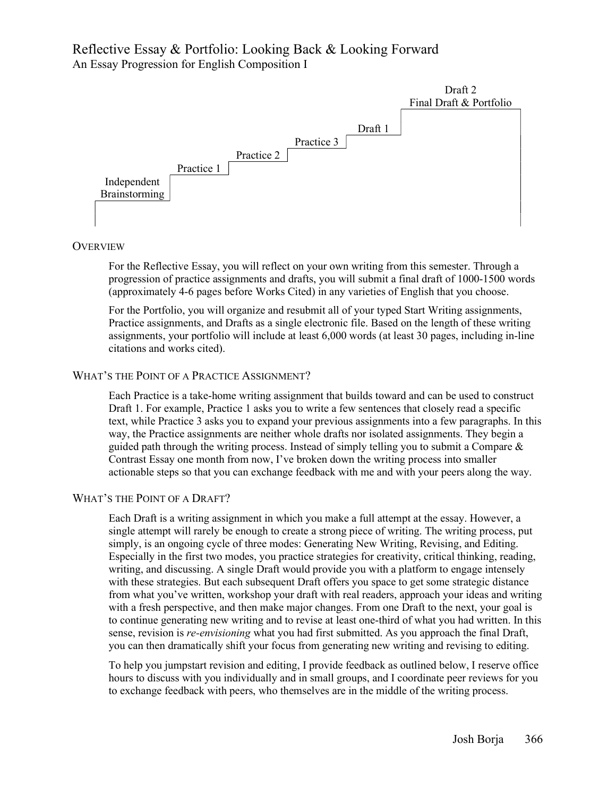# Reflective Essay & Portfolio: Looking Back & Looking Forward An Essay Progression for English Composition I



#### **OVERVIEW**

For the Reflective Essay, you will reflect on your own writing from this semester. Through a progression of practice assignments and drafts, you will submit a final draft of 1000-1500 words (approximately 4-6 pages before Works Cited) in any varieties of English that you choose.

For the Portfolio, you will organize and resubmit all of your typed Start Writing assignments, Practice assignments, and Drafts as a single electronic file. Based on the length of these writing assignments, your portfolio will include at least 6,000 words (at least 30 pages, including in-line citations and works cited).

## WHAT'S THE POINT OF A PRACTICE ASSIGNMENT?

Each Practice is a take-home writing assignment that builds toward and can be used to construct Draft 1. For example, Practice 1 asks you to write a few sentences that closely read a specific text, while Practice 3 asks you to expand your previous assignments into a few paragraphs. In this way, the Practice assignments are neither whole drafts nor isolated assignments. They begin a guided path through the writing process. Instead of simply telling you to submit a Compare  $\&$ Contrast Essay one month from now, I've broken down the writing process into smaller actionable steps so that you can exchange feedback with me and with your peers along the way.

### WHAT'S THE POINT OF A DRAFT?

Each Draft is a writing assignment in which you make a full attempt at the essay. However, a single attempt will rarely be enough to create a strong piece of writing. The writing process, put simply, is an ongoing cycle of three modes: Generating New Writing, Revising, and Editing. Especially in the first two modes, you practice strategies for creativity, critical thinking, reading, writing, and discussing. A single Draft would provide you with a platform to engage intensely with these strategies. But each subsequent Draft offers you space to get some strategic distance from what you've written, workshop your draft with real readers, approach your ideas and writing with a fresh perspective, and then make major changes. From one Draft to the next, your goal is to continue generating new writing and to revise at least one-third of what you had written. In this sense, revision is *re-envisioning* what you had first submitted. As you approach the final Draft, you can then dramatically shift your focus from generating new writing and revising to editing.

To help you jumpstart revision and editing, I provide feedback as outlined below, I reserve office hours to discuss with you individually and in small groups, and I coordinate peer reviews for you to exchange feedback with peers, who themselves are in the middle of the writing process.